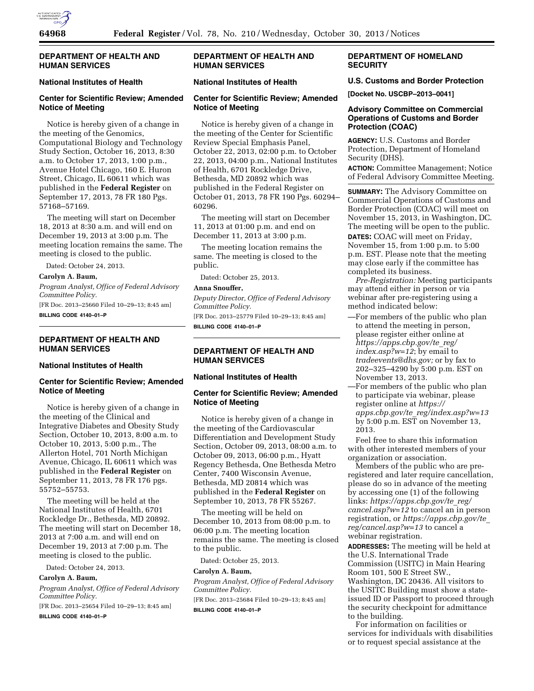

## **DEPARTMENT OF HEALTH AND HUMAN SERVICES**

#### **National Institutes of Health**

# **Center for Scientific Review; Amended Notice of Meeting**

Notice is hereby given of a change in the meeting of the Genomics, Computational Biology and Technology Study Section, October 16, 2013, 8:30 a.m. to October 17, 2013, 1:00 p.m., Avenue Hotel Chicago, 160 E. Huron Street, Chicago, IL 60611 which was published in the **Federal Register** on September 17, 2013, 78 FR 180 Pgs. 57168–57169.

The meeting will start on December 18, 2013 at 8:30 a.m. and will end on December 19, 2013 at 3:00 p.m. The meeting location remains the same. The meeting is closed to the public.

Dated: October 24, 2013.

#### **Carolyn A. Baum,**

*Program Analyst, Office of Federal Advisory Committee Policy.* 

[FR Doc. 2013–25660 Filed 10–29–13; 8:45 am] **BILLING CODE 4140–01–P** 

#### **DEPARTMENT OF HEALTH AND HUMAN SERVICES**

#### **National Institutes of Health**

### **Center for Scientific Review; Amended Notice of Meeting**

Notice is hereby given of a change in the meeting of the Clinical and Integrative Diabetes and Obesity Study Section, October 10, 2013, 8:00 a.m. to October 10, 2013, 5:00 p.m., The Allerton Hotel, 701 North Michigan Avenue, Chicago, IL 60611 which was published in the **Federal Register** on September 11, 2013, 78 FR 176 pgs. 55752–55753.

The meeting will be held at the National Institutes of Health, 6701 Rockledge Dr., Bethesda, MD 20892. The meeting will start on December 18, 2013 at 7:00 a.m. and will end on December 19, 2013 at 7:00 p.m. The meeting is closed to the public.

Dated: October 24, 2013.

#### **Carolyn A. Baum,**

*Program Analyst, Office of Federal Advisory Committee Policy.* 

[FR Doc. 2013–25654 Filed 10–29–13; 8:45 am] **BILLING CODE 4140–01–P** 

# **DEPARTMENT OF HEALTH AND HUMAN SERVICES**

## **National Institutes of Health**

### **Center for Scientific Review; Amended Notice of Meeting**

Notice is hereby given of a change in the meeting of the Center for Scientific Review Special Emphasis Panel, October 22, 2013, 02:00 p.m. to October 22, 2013, 04:00 p.m., National Institutes of Health, 6701 Rockledge Drive, Bethesda, MD 20892 which was published in the Federal Register on October 01, 2013, 78 FR 190 Pgs. 60294– 60296.

The meeting will start on December 11, 2013 at 01:00 p.m. and end on December 11, 2013 at 3:00 p.m.

The meeting location remains the same. The meeting is closed to the public.

Dated: October 25, 2013.

### **Anna Snouffer,**

*Deputy Director, Office of Federal Advisory Committee Policy.* 

[FR Doc. 2013–25779 Filed 10–29–13; 8:45 am] **BILLING CODE 4140–01–P** 

# **DEPARTMENT OF HEALTH AND HUMAN SERVICES**

### **National Institutes of Health**

### **Center for Scientific Review; Amended Notice of Meeting**

Notice is hereby given of a change in the meeting of the Cardiovascular Differentiation and Development Study Section, October 09, 2013, 08:00 a.m. to October 09, 2013, 06:00 p.m., Hyatt Regency Bethesda, One Bethesda Metro Center, 7400 Wisconsin Avenue, Bethesda, MD 20814 which was published in the **Federal Register** on September 10, 2013, 78 FR 55267.

The meeting will be held on December 10, 2013 from 08:00 p.m. to 06:00 p.m. The meeting location remains the same. The meeting is closed to the public.

Dated: October 25, 2013.

#### **Carolyn A. Baum,**

*Program Analyst, Office of Federal Advisory Committee Policy.* 

[FR Doc. 2013–25684 Filed 10–29–13; 8:45 am] **BILLING CODE 4140–01–P** 

# **DEPARTMENT OF HOMELAND SECURITY**

#### **U.S. Customs and Border Protection**

**[Docket No. USCBP–2013–0041]** 

## **Advisory Committee on Commercial Operations of Customs and Border Protection (COAC)**

**AGENCY:** U.S. Customs and Border Protection, Department of Homeland Security (DHS).

**ACTION:** Committee Management; Notice of Federal Advisory Committee Meeting.

**SUMMARY:** The Advisory Committee on Commercial Operations of Customs and Border Protection (COAC) will meet on November 15, 2013, in Washington, DC. The meeting will be open to the public.

**DATES:** COAC will meet on Friday, November 15, from 1:00 p.m. to 5:00 p.m. EST. Please note that the meeting may close early if the committee has completed its business.

*Pre-Registration:* Meeting participants may attend either in person or via webinar after pre-registering using a method indicated below:

—For members of the public who plan to attend the meeting in person, please register either online at *[https://apps.cbp.gov/te](https://apps.cbp.gov/te_reg/index.asp?w=12)*\_*reg/ [index.asp?w=12](https://apps.cbp.gov/te_reg/index.asp?w=12)*; by email to *[tradeevents@dhs.gov;](mailto:tradeevents@dhs.gov)* or by fax to 202–325–4290 by 5:00 p.m. EST on November 13, 2013.

—For members of the public who plan to participate via webinar, please register online at *[https://](https://apps.cbp.gov/te_reg/index.asp?w=13) apps.cbp.gov/te*\_*[reg/index.asp?w=13](https://apps.cbp.gov/te_reg/index.asp?w=13)*  by 5:00 p.m. EST on November 13, 2013.

Feel free to share this information with other interested members of your organization or association.

Members of the public who are preregistered and later require cancellation, please do so in advance of the meeting by accessing one (1) of the following links: *[https://apps.cbp.gov/te](https://apps.cbp.gov/te_reg/cancel.asp?w=12)*\_*reg/ [cancel.asp?w=12](https://apps.cbp.gov/te_reg/cancel.asp?w=12)* to cancel an in person registration, or *[https://apps.cbp.gov/te](https://apps.cbp.gov/te_reg/cancel.asp?w=13)*\_ *[reg/cancel.asp?w=13](https://apps.cbp.gov/te_reg/cancel.asp?w=13)* to cancel a webinar registration.

**ADDRESSES:** The meeting will be held at the U.S. International Trade Commission (USITC) in Main Hearing Room 101, 500 E Street SW., Washington, DC 20436. All visitors to the USITC Building must show a stateissued ID or Passport to proceed through the security checkpoint for admittance to the building.

For information on facilities or services for individuals with disabilities or to request special assistance at the